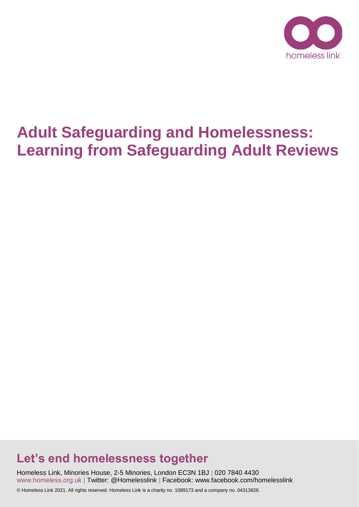

# **Adult Safeguarding and Homelessness: Learning from Safeguarding Adult Reviews**

# **Let's end homelessness together**

Homeless Link, Minories House, 2-5 Minories, London EC3N 1BJ | 020 7840 4430 www.homeless.org.uk | Twitter: @Homelesslink | Facebook: www.facebook.com/homelesslink

© Homeless Link 2021. All rights reserved. Homeless Link is a charity no. 1089173 and a company no. 04313826.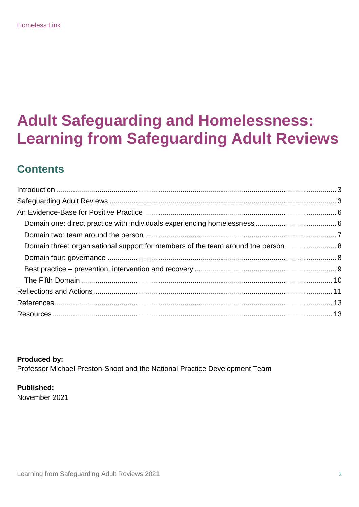# **Adult Safeguarding and Homelessness: Learning from Safeguarding Adult Reviews**

# **Contents**

| Domain three: organisational support for members of the team around the person |  |
|--------------------------------------------------------------------------------|--|
|                                                                                |  |
|                                                                                |  |
|                                                                                |  |
|                                                                                |  |
|                                                                                |  |
|                                                                                |  |

**Produced by:**  Professor Michael Preston-Shoot and the National Practice Development Team

## **Published:**

November 2021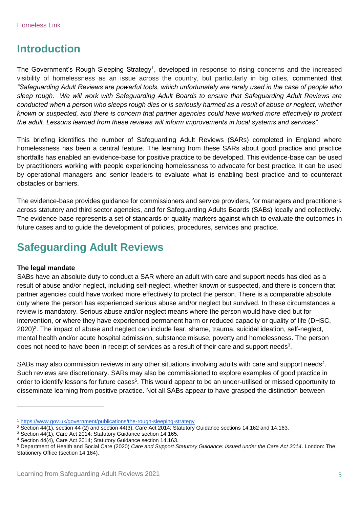# <span id="page-2-0"></span>**Introduction**

The Government's Rough Sleeping Strategy<sup>1</sup>, developed in response to rising concerns and the increased visibility of homelessness as an issue across the country, but particularly in big cities, commented that *"Safeguarding Adult Reviews are powerful tools, which unfortunately are rarely used in the case of people who sleep rough. We will work with Safeguarding Adult Boards to ensure that Safeguarding Adult Reviews are conducted when a person who sleeps rough dies or is seriously harmed as a result of abuse or neglect, whether known or suspected, and there is concern that partner agencies could have worked more effectively to protect the adult. Lessons learned from these reviews will inform improvements in local systems and services".*

This briefing identifies the number of Safeguarding Adult Reviews (SARs) completed in England where homelessness has been a central feature. The learning from these SARs about good practice and practice shortfalls has enabled an evidence-base for positive practice to be developed. This evidence-base can be used by practitioners working with people experiencing homelessness to advocate for best practice. It can be used by operational managers and senior leaders to evaluate what is enabling best practice and to counteract obstacles or barriers.

The evidence-base provides guidance for commissioners and service providers, for managers and practitioners across statutory and third sector agencies, and for Safeguarding Adults Boards (SABs) locally and collectively. The evidence-base represents a set of standards or quality markers against which to evaluate the outcomes in future cases and to guide the development of policies, procedures, services and practice.

# <span id="page-2-1"></span>**Safeguarding Adult Reviews**

#### **The legal mandate**

 $\overline{a}$ 

SABs have an absolute duty to conduct a SAR where an adult with care and support needs has died as a result of abuse and/or neglect, including self-neglect, whether known or suspected, and there is concern that partner agencies could have worked more effectively to protect the person. There is a comparable absolute duty where the person has experienced serious abuse and/or neglect but survived. In these circumstances a review is mandatory. Serious abuse and/or neglect means where the person would have died but for intervention, or where they have experienced permanent harm or reduced capacity or quality of life (DHSC, 2020)<sup>2</sup>. The impact of abuse and neglect can include fear, shame, trauma, suicidal ideation, self-neglect, mental health and/or acute hospital admission, substance misuse, poverty and homelessness. The person does not need to have been in receipt of services as a result of their care and support needs<sup>3</sup>.

SABs may also commission reviews in any other situations involving adults with care and support needs<sup>4</sup>. Such reviews are discretionary. SARs may also be commissioned to explore examples of good practice in order to identify lessons for future cases<sup>5</sup>. This would appear to be an under-utilised or missed opportunity to disseminate learning from positive practice. Not all SABs appear to have grasped the distinction between

<sup>1</sup> <https://www.gov.uk/government/publications/the-rough-sleeping-strategy>

<sup>&</sup>lt;sup>2</sup> Section 44(1), section 44 (2) and section 44(3), Care Act 2014; Statutory Guidance sections 14.162 and 14.163.

<sup>3</sup> Section 44(1), Care Act 2014; Statutory Guidance section 14.165.

<sup>4</sup> Section 44(4), Care Act 2014; Statutory Guidance section 14.163.

<sup>5</sup> Department of Health and Social Care (2020) *Care and Support Statutory Guidance: Issued under the Care Act 2014*. London: The Stationery Office (section 14.164).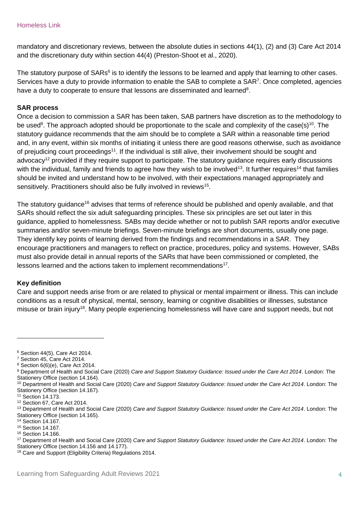mandatory and discretionary reviews, between the absolute duties in sections 44(1), (2) and (3) Care Act 2014 and the discretionary duty within section 44(4) (Preston-Shoot et al., 2020).

The statutory purpose of SARs<sup>6</sup> is to identify the lessons to be learned and apply that learning to other cases. Services have a duty to provide information to enable the SAB to complete a SAR<sup>7</sup>. Once completed, agencies have a duty to cooperate to ensure that lessons are disseminated and learned<sup>8</sup>.

#### **SAR process**

Once a decision to commission a SAR has been taken, SAB partners have discretion as to the methodology to be used<sup>9</sup>. The approach adopted should be proportionate to the scale and complexity of the case(s)<sup>10</sup>. The statutory guidance recommends that the aim should be to complete a SAR within a reasonable time period and, in any event, within six months of initiating it unless there are good reasons otherwise, such as avoidance of prejudicing court proceedings<sup>11</sup>. If the individual is still alive, their involvement should be sought and advocacy<sup>12</sup> provided if they require support to participate. The statutory guidance requires early discussions with the individual, family and friends to agree how they wish to be involved<sup>13</sup>. It further requires<sup>14</sup> that families should be invited and understand how to be involved, with their expectations managed appropriately and sensitively. Practitioners should also be fully involved in reviews<sup>15</sup>.

The statutory guidance<sup>16</sup> advises that terms of reference should be published and openly available, and that SARs should reflect the six adult safeguarding principles. These six principles are set out later in this guidance, applied to homelessness. SABs may decide whether or not to publish SAR reports and/or executive summaries and/or seven-minute briefings. Seven-minute briefings are short documents, usually one page. They identify key points of learning derived from the findings and recommendations in a SAR. They encourage practitioners and managers to reflect on practice, procedures, policy and systems. However, SABs must also provide detail in annual reports of the SARs that have been commissioned or completed, the lessons learned and the actions taken to implement recommendations<sup>17</sup>.

#### **Key definition**

 $\overline{a}$ 

Care and support needs arise from or are related to physical or mental impairment or illness. This can include conditions as a result of physical, mental, sensory, learning or cognitive disabilities or illnesses, substance misuse or brain injury<sup>18</sup>. Many people experiencing homelessness will have care and support needs, but not

<sup>6</sup> Section 44(5), Care Act 2014.

<sup>7</sup> Section 45, Care Act 2014.

<sup>8</sup> Section 6(6)(e), Care Act 2014.

<sup>9</sup> Department of Health and Social Care (2020) *Care and Support Statutory Guidance: Issued under the Care Act 2014*. London: The Stationery Office (section 14.164).

<sup>10</sup> Department of Health and Social Care (2020) *Care and Support Statutory Guidance: Issued under the Care Act 2014*. London: The Stationery Office (section 14.167).

<sup>11</sup> Section 14.173.

<sup>12</sup> Section 67, Care Act 2014.

<sup>13</sup> Department of Health and Social Care (2020) *Care and Support Statutory Guidance: Issued under the Care Act 2014*. London: The Stationery Office (section 14.165).

<sup>14</sup> Section 14.167.

<sup>15</sup> Section 14.167.

<sup>16</sup> Section 14.166.

<sup>17</sup> Department of Health and Social Care (2020) *Care and Support Statutory Guidance: Issued under the Care Act 2014*. London: The Stationery Office (section 14.156 and 14.177).

<sup>18</sup> Care and Support (Eligibility Criteria) Regulations 2014.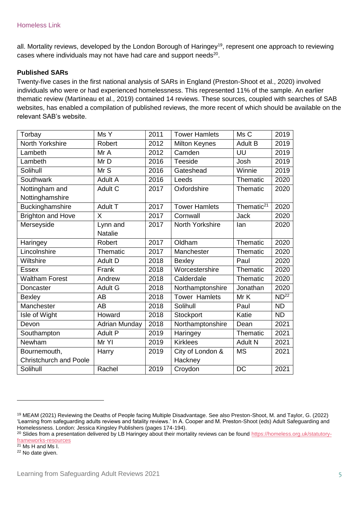all. Mortality reviews, developed by the London Borough of Haringey<sup>19</sup>, represent one approach to reviewing cases where individuals may not have had care and support needs<sup>20</sup>.

#### **Published SARs**

Twenty-five cases in the first national analysis of SARs in England (Preston-Shoot et al., 2020) involved individuals who were or had experienced homelessness. This represented 11% of the sample. An earlier thematic review (Martineau et al., 2019) contained 14 reviews. These sources, coupled with searches of SAB websites, has enabled a compilation of published reviews, the more recent of which should be available on the relevant SAB's website.

| Torbay                        | Ms Y                 | 2011 | <b>Tower Hamlets</b> | Ms C                   | 2019             |
|-------------------------------|----------------------|------|----------------------|------------------------|------------------|
| <b>North Yorkshire</b>        | Robert               | 2012 | <b>Milton Keynes</b> | <b>Adult B</b>         | 2019             |
| Lambeth                       | Mr A                 | 2012 | Camden               | UU                     | 2019             |
| Lambeth                       | Mr D                 | 2016 | Teeside              | Josh                   | 2019             |
| Solihull                      | Mr S                 | 2016 | Gateshead            | Winnie                 | 2019             |
| Southwark                     | Adult A              | 2016 | Leeds                | Thematic               | 2020             |
| Nottingham and                | Adult C              | 2017 | Oxfordshire          | Thematic               | 2020             |
| Nottinghamshire               |                      |      |                      |                        |                  |
| <b>Buckinghamshire</b>        | <b>Adult T</b>       | 2017 | <b>Tower Hamlets</b> | Thematic <sup>21</sup> | 2020             |
| <b>Brighton and Hove</b>      | $\sf X$              | 2017 | Cornwall             | <b>Jack</b>            | 2020             |
| Merseyside                    | Lynn and             | 2017 | North Yorkshire      | lan                    | 2020             |
|                               | <b>Natalie</b>       |      |                      |                        |                  |
| Haringey                      | Robert               | 2017 | Oldham               | Thematic               | 2020             |
| Lincolnshire                  | Thematic             | 2017 | Manchester           | Thematic               | 2020             |
| Wiltshire                     | Adult D              | 2018 | <b>Bexley</b>        | Paul                   | 2020             |
| <b>Essex</b>                  | Frank                | 2018 | Worcestershire       | Thematic               | 2020             |
| <b>Waltham Forest</b>         | Andrew               | 2018 | Calderdale           | Thematic               | 2020             |
| Doncaster                     | <b>Adult G</b>       | 2018 | Northamptonshire     | Jonathan               | 2020             |
| <b>Bexley</b>                 | <b>AB</b>            | 2018 | <b>Tower Hamlets</b> | Mr K                   | ND <sup>22</sup> |
| Manchester                    | <b>AB</b>            | 2018 | Solihull             | Paul                   | <b>ND</b>        |
| Isle of Wight                 | Howard               | 2018 | Stockport            | Katie                  | <b>ND</b>        |
| Devon                         | <b>Adrian Munday</b> | 2018 | Northamptonshire     | Dean                   | 2021             |
| Southampton                   | <b>Adult P</b>       | 2019 | Haringey             | Thematic               | 2021             |
| Newham                        | Mr YI                | 2019 | <b>Kirklees</b>      | Adult N                | 2021             |
| Bournemouth,                  | Harry                | 2019 | City of London &     | <b>MS</b>              | 2021             |
| <b>Christchurch and Poole</b> |                      |      | Hackney              |                        |                  |
| Solihull                      | Rachel               | 2019 | Croydon              | <b>DC</b>              | 2021             |

 $\frac{1}{21}$  Ms H and Ms I.

 $\overline{a}$ 

<sup>22</sup> No date given.

<sup>19</sup> MEAM (2021) Reviewing the Deaths of People facing Multiple Disadvantage. See also Preston-Shoot, M. and Taylor, G. (2022) 'Learning from safeguarding adults reviews and fatality reviews.' In A. Cooper and M. Preston-Shoot (eds) Adult Safeguarding and Homelessness. London: Jessica Kingsley Publishers (pages 174-194).

<sup>&</sup>lt;sup>20</sup> Slides from a presentation delivered by LB Haringey about their mortality reviews can be found [https://homeless.org.uk/statutory](https://homeless.org.uk/statutory-frameworks-resources)[frameworks-resources](https://homeless.org.uk/statutory-frameworks-resources)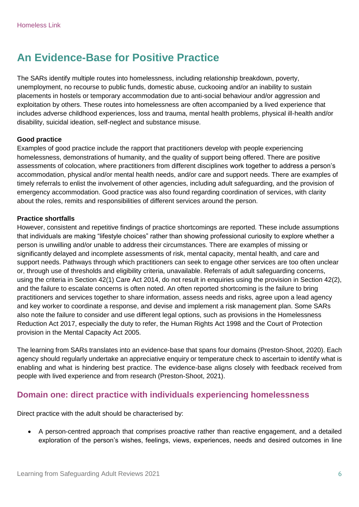# <span id="page-5-0"></span>**An Evidence-Base for Positive Practice**

The SARs identify multiple routes into homelessness, including relationship breakdown, poverty, unemployment, no recourse to public funds, domestic abuse, cuckooing and/or an inability to sustain placements in hostels or temporary accommodation due to anti-social behaviour and/or aggression and exploitation by others. These routes into homelessness are often accompanied by a lived experience that includes adverse childhood experiences, loss and trauma, mental health problems, physical ill-health and/or disability, suicidal ideation, self-neglect and substance misuse.

#### **Good practice**

Examples of good practice include the rapport that practitioners develop with people experiencing homelessness, demonstrations of humanity, and the quality of support being offered. There are positive assessments of colocation, where practitioners from different disciplines work together to address a person's accommodation, physical and/or mental health needs, and/or care and support needs. There are examples of timely referrals to enlist the involvement of other agencies, including adult safeguarding, and the provision of emergency accommodation. Good practice was also found regarding coordination of services, with clarity about the roles, remits and responsibilities of different services around the person.

#### **Practice shortfalls**

However, consistent and repetitive findings of practice shortcomings are reported. These include assumptions that individuals are making "lifestyle choices" rather than showing professional curiosity to explore whether a person is unwilling and/or unable to address their circumstances. There are examples of missing or significantly delayed and incomplete assessments of risk, mental capacity, mental health, and care and support needs. Pathways through which practitioners can seek to engage other services are too often unclear or, through use of thresholds and eligibility criteria, unavailable. Referrals of adult safeguarding concerns, using the criteria in Section 42(1) Care Act 2014, do not result in enquiries using the provision in Section 42(2), and the failure to escalate concerns is often noted. An often reported shortcoming is the failure to bring practitioners and services together to share information, assess needs and risks, agree upon a lead agency and key worker to coordinate a response, and devise and implement a risk management plan. Some SARs also note the failure to consider and use different legal options, such as provisions in the Homelessness Reduction Act 2017, especially the duty to refer, the Human Rights Act 1998 and the Court of Protection provision in the Mental Capacity Act 2005.

The learning from SARs translates into an evidence-base that spans four domains (Preston-Shoot, 2020). Each agency should regularly undertake an appreciative enquiry or temperature check to ascertain to identify what is enabling and what is hindering best practice. The evidence-base aligns closely with feedback received from people with lived experience and from research (Preston-Shoot, 2021).

## <span id="page-5-1"></span>**Domain one: direct practice with individuals experiencing homelessness**

Direct practice with the adult should be characterised by:

 A person-centred approach that comprises proactive rather than reactive engagement, and a detailed exploration of the person's wishes, feelings, views, experiences, needs and desired outcomes in line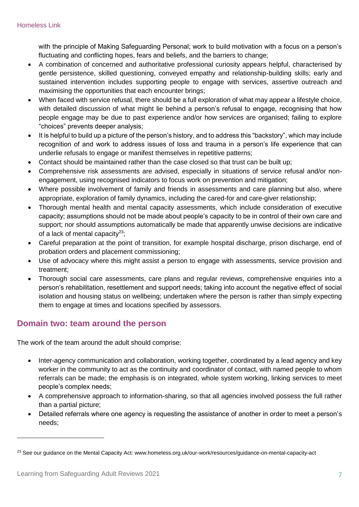with the principle of Making Safeguarding Personal; work to build motivation with a focus on a person's fluctuating and conflicting hopes, fears and beliefs, and the barriers to change;

- A combination of concerned and authoritative professional curiosity appears helpful, characterised by gentle persistence, skilled questioning, conveyed empathy and relationship-building skills; early and sustained intervention includes supporting people to engage with services, assertive outreach and maximising the opportunities that each encounter brings;
- When faced with service refusal, there should be a full exploration of what may appear a lifestyle choice, with detailed discussion of what might lie behind a person's refusal to engage, recognising that how people engage may be due to past experience and/or how services are organised; failing to explore "choices" prevents deeper analysis;
- It is helpful to build up a picture of the person's history, and to address this "backstory", which may include recognition of and work to address issues of loss and trauma in a person's life experience that can underlie refusals to engage or manifest themselves in repetitive patterns;
- Contact should be maintained rather than the case closed so that trust can be built up;
- Comprehensive risk assessments are advised, especially in situations of service refusal and/or nonengagement, using recognised indicators to focus work on prevention and mitigation;
- Where possible involvement of family and friends in assessments and care planning but also, where appropriate, exploration of family dynamics, including the cared-for and care-giver relationship;
- Thorough mental health and mental capacity assessments, which include consideration of executive capacity; assumptions should not be made about people's capacity to be in control of their own care and support; nor should assumptions automatically be made that apparently unwise decisions are indicative of a lack of mental capacity $^{23}$ ;
- Careful preparation at the point of transition, for example hospital discharge, prison discharge, end of probation orders and placement commissioning;
- Use of advocacy where this might assist a person to engage with assessments, service provision and treatment;
- Thorough social care assessments, care plans and regular reviews, comprehensive enquiries into a person's rehabilitation, resettlement and support needs; taking into account the negative effect of social isolation and housing status on wellbeing; undertaken where the person is rather than simply expecting them to engage at times and locations specified by assessors.

## <span id="page-6-0"></span>**Domain two: team around the person**

The work of the team around the adult should comprise:

- Inter-agency communication and collaboration, working together, coordinated by a lead agency and key worker in the community to act as the continuity and coordinator of contact, with named people to whom referrals can be made; the emphasis is on integrated, whole system working, linking services to meet people's complex needs;
- A comprehensive approach to information-sharing, so that all agencies involved possess the full rather than a partial picture;
- Detailed referrals where one agency is requesting the assistance of another in order to meet a person's needs;

 $\overline{a}$ 

<sup>&</sup>lt;sup>23</sup> See our guidance on the Mental Capacity Act: www.homeless.org.uk/our-work/resources/guidance-on-mental-capacity-act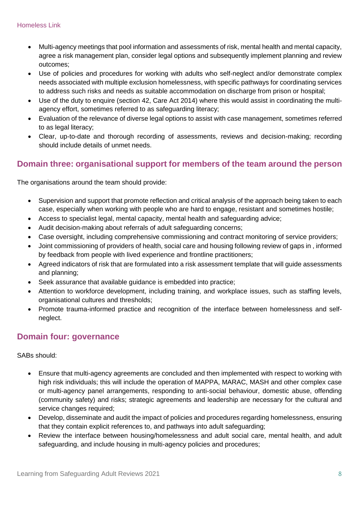- Multi-agency meetings that pool information and assessments of risk, mental health and mental capacity, agree a risk management plan, consider legal options and subsequently implement planning and review outcomes;
- Use of policies and procedures for working with adults who self-neglect and/or demonstrate complex needs associated with multiple exclusion homelessness, with specific pathways for coordinating services to address such risks and needs as suitable accommodation on discharge from prison or hospital;
- Use of the duty to enquire (section 42, Care Act 2014) where this would assist in coordinating the multiagency effort, sometimes referred to as safeguarding literacy;
- Evaluation of the relevance of diverse legal options to assist with case management, sometimes referred to as legal literacy;
- Clear, up-to-date and thorough recording of assessments, reviews and decision-making; recording should include details of unmet needs.

## <span id="page-7-0"></span>**Domain three: organisational support for members of the team around the person**

The organisations around the team should provide:

- Supervision and support that promote reflection and critical analysis of the approach being taken to each case, especially when working with people who are hard to engage, resistant and sometimes hostile;
- Access to specialist legal, mental capacity, mental health and safeguarding advice;
- Audit decision-making about referrals of adult safeguarding concerns;
- Case oversight, including comprehensive commissioning and contract monitoring of service providers;
- Joint commissioning of providers of health, social care and housing following review of gaps in , informed by feedback from people with lived experience and frontline practitioners;
- Agreed indicators of risk that are formulated into a risk assessment template that will guide assessments and planning;
- Seek assurance that available guidance is embedded into practice;
- Attention to workforce development, including training, and workplace issues, such as staffing levels, organisational cultures and thresholds;
- Promote trauma-informed practice and recognition of the interface between homelessness and selfneglect.

## <span id="page-7-1"></span>**Domain four: governance**

SABs should:

- Ensure that multi-agency agreements are concluded and then implemented with respect to working with high risk individuals; this will include the operation of MAPPA, MARAC, MASH and other complex case or multi-agency panel arrangements, responding to anti-social behaviour, domestic abuse, offending (community safety) and risks; strategic agreements and leadership are necessary for the cultural and service changes required;
- Develop, disseminate and audit the impact of policies and procedures regarding homelessness, ensuring that they contain explicit references to, and pathways into adult safeguarding;
- Review the interface between housing/homelessness and adult social care, mental health, and adult safeguarding, and include housing in multi-agency policies and procedures;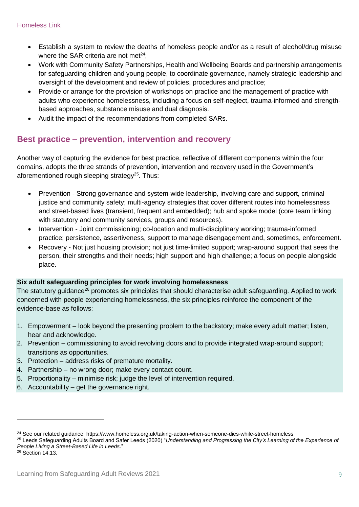- Establish a system to review the deaths of homeless people and/or as a result of alcohol/drug misuse where the SAR criteria are not met $24$ ;
- Work with Community Safety Partnerships, Health and Wellbeing Boards and partnership arrangements for safeguarding children and young people, to coordinate governance, namely strategic leadership and oversight of the development and review of policies, procedures and practice;
- Provide or arrange for the provision of workshops on practice and the management of practice with adults who experience homelessness, including a focus on self-neglect, trauma-informed and strengthbased approaches, substance misuse and dual diagnosis.
- Audit the impact of the recommendations from completed SARs.

## <span id="page-8-0"></span>**Best practice – prevention, intervention and recovery**

Another way of capturing the evidence for best practice, reflective of different components within the four domains, adopts the three strands of prevention, intervention and recovery used in the Government's aforementioned rough sleeping strategy<sup>25</sup>. Thus:

- Prevention Strong governance and system-wide leadership, involving care and support, criminal justice and community safety; multi-agency strategies that cover different routes into homelessness and street-based lives (transient, frequent and embedded); hub and spoke model (core team linking with statutory and community services, groups and resources).
- Intervention Joint commissioning; co-location and multi-disciplinary working; trauma-informed practice; persistence, assertiveness, support to manage disengagement and, sometimes, enforcement.
- Recovery Not just housing provision; not just time-limited support; wrap-around support that sees the person, their strengths and their needs; high support and high challenge; a focus on people alongside place.

### **Six adult safeguarding principles for work involving homelessness**

The statutory guidance<sup>26</sup> promotes six principles that should characterise adult safeguarding. Applied to work concerned with people experiencing homelessness, the six principles reinforce the component of the evidence-base as follows:

- 1. Empowerment look beyond the presenting problem to the backstory; make every adult matter; listen, hear and acknowledge.
- 2. Prevention commissioning to avoid revolving doors and to provide integrated wrap-around support; transitions as opportunities.
- 3. Protection address risks of premature mortality.
- 4. Partnership no wrong door; make every contact count.
- 5. Proportionality minimise risk; judge the level of intervention required.
- 6. Accountability get the governance right.

<span id="page-8-1"></span> $\overline{a}$ 

<sup>24</sup> See our related guidance: https://www.homeless.org.uk/taking-action-when-someone-dies-while-street-homeless

<sup>25</sup> Leeds Safeguarding Adults Board and Safer Leeds (2020) "*Understanding and Progressing the City's Learning of the Experience of People Living a Street-Based Life in Leeds*."

<sup>26</sup> Section 14.13.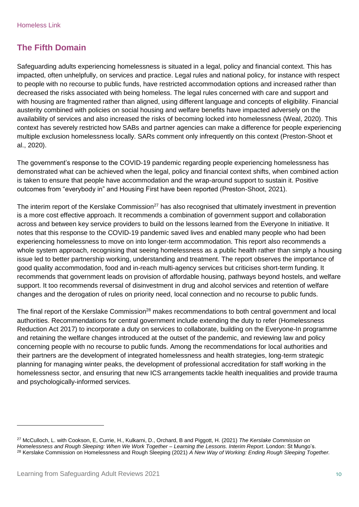## **The Fifth Domain**

Safeguarding adults experiencing homelessness is situated in a legal, policy and financial context. This has impacted, often unhelpfully, on services and practice. Legal rules and national policy, for instance with respect to people with no recourse to public funds, have restricted accommodation options and increased rather than decreased the risks associated with being homeless. The legal rules concerned with care and support and with housing are fragmented rather than aligned, using different language and concepts of eligibility. Financial austerity combined with policies on social housing and welfare benefits have impacted adversely on the availability of services and also increased the risks of becoming locked into homelessness (Weal, 2020). This context has severely restricted how SABs and partner agencies can make a difference for people experiencing multiple exclusion homelessness locally. SARs comment only infrequently on this context (Preston-Shoot et al., 2020).

The government's response to the COVID-19 pandemic regarding people experiencing homelessness has demonstrated what can be achieved when the legal, policy and financial context shifts, when combined action is taken to ensure that people have accommodation and the wrap-around support to sustain it. Positive outcomes from "everybody in" and Housing First have been reported (Preston-Shoot, 2021).

The interim report of the Kerslake Commission<sup>27</sup> has also recognised that ultimately investment in prevention is a more cost effective approach. It recommends a combination of government support and collaboration across and between key service providers to build on the lessons learned from the Everyone In initiative. It notes that this response to the COVID-19 pandemic saved lives and enabled many people who had been experiencing homelessness to move on into longer-term accommodation. This report also recommends a whole system approach, recognising that seeing homelessness as a public health rather than simply a housing issue led to better partnership working, understanding and treatment. The report observes the importance of good quality accommodation, food and in-reach multi-agency services but criticises short-term funding. It recommends that government leads on provision of affordable housing, pathways beyond hostels, and welfare support. It too recommends reversal of disinvestment in drug and alcohol services and retention of welfare changes and the derogation of rules on priority need, local connection and no recourse to public funds.

The final report of the Kerslake Commission<sup>28</sup> makes recommendations to both central government and local authorities. Recommendations for central government include extending the duty to refer (Homelessness Reduction Act 2017) to incorporate a duty on services to collaborate, building on the Everyone-In programme and retaining the welfare changes introduced at the outset of the pandemic, and reviewing law and policy concerning people with no recourse to public funds. Among the recommendations for local authorities and their partners are the development of integrated homelessness and health strategies, long-term strategic planning for managing winter peaks, the development of professional accreditation for staff working in the homelessness sector, and ensuring that new ICS arrangements tackle health inequalities and provide trauma and psychologically-informed services.

 $\overline{a}$ 

<sup>27</sup> McCulloch, L. with Cookson, E, Currie, H., Kulkarni, D., Orchard, B and Piggott, H. (2021) *The Kerslake Commission on Homelessness and Rough Sleeping: When We Work Together – Learning the Lessons. Interim Report*. London: St Mungo's. <sup>28</sup> Kerslake Commission on Homelessness and Rough Sleeping (2021) *A New Way of Working: Ending Rough Sleeping Together.*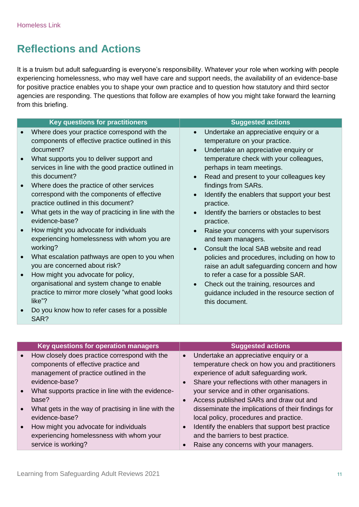# <span id="page-10-0"></span>**Reflections and Actions**

It is a truism but adult safeguarding is everyone's responsibility. Whatever your role when working with people experiencing homelessness, who may well have care and support needs, the availability of an evidence-base for positive practice enables you to shape your own practice and to question how statutory and third sector agencies are responding. The questions that follow are examples of how you might take forward the learning from this briefing.

| <b>Key questions for practitioners</b>                                                                                                                                                                                                                                                                                                                                                                                                                                                                                                                                                                                                                                                                                                                                                                                                             | <b>Suggested actions</b>                                                                                                                                                                                                                                                                                                                                                                                                                                                                                                                                                                                                                                                                                                                                                                            |
|----------------------------------------------------------------------------------------------------------------------------------------------------------------------------------------------------------------------------------------------------------------------------------------------------------------------------------------------------------------------------------------------------------------------------------------------------------------------------------------------------------------------------------------------------------------------------------------------------------------------------------------------------------------------------------------------------------------------------------------------------------------------------------------------------------------------------------------------------|-----------------------------------------------------------------------------------------------------------------------------------------------------------------------------------------------------------------------------------------------------------------------------------------------------------------------------------------------------------------------------------------------------------------------------------------------------------------------------------------------------------------------------------------------------------------------------------------------------------------------------------------------------------------------------------------------------------------------------------------------------------------------------------------------------|
| Where does your practice correspond with the<br>components of effective practice outlined in this<br>document?<br>What supports you to deliver support and<br>services in line with the good practice outlined in<br>this document?<br>Where does the practice of other services<br>correspond with the components of effective<br>practice outlined in this document?<br>What gets in the way of practicing in line with the<br>evidence-base?<br>How might you advocate for individuals<br>experiencing homelessness with whom you are<br>working?<br>What escalation pathways are open to you when<br>you are concerned about risk?<br>How might you advocate for policy,<br>organisational and system change to enable<br>practice to mirror more closely "what good looks"<br>like"?<br>Do you know how to refer cases for a possible<br>SAR? | Undertake an appreciative enquiry or a<br>$\bullet$<br>temperature on your practice.<br>Undertake an appreciative enquiry or<br>$\bullet$<br>temperature check with your colleagues,<br>perhaps in team meetings.<br>Read and present to your colleagues key<br>$\bullet$<br>findings from SARs.<br>Identify the enablers that support your best<br>practice.<br>Identify the barriers or obstacles to best<br>$\bullet$<br>practice.<br>Raise your concerns with your supervisors<br>and team managers.<br>Consult the local SAB website and read<br>policies and procedures, including on how to<br>raise an adult safeguarding concern and how<br>to refer a case for a possible SAR.<br>Check out the training, resources and<br>guidance included in the resource section of<br>this document. |
|                                                                                                                                                                                                                                                                                                                                                                                                                                                                                                                                                                                                                                                                                                                                                                                                                                                    |                                                                                                                                                                                                                                                                                                                                                                                                                                                                                                                                                                                                                                                                                                                                                                                                     |

| Key questions for operation managers                | <b>Suggested actions</b>                           |
|-----------------------------------------------------|----------------------------------------------------|
| How closely does practice correspond with the       | Undertake an appreciative enquiry or a             |
| components of effective practice and                | temperature check on how you and practitioners     |
| management of practice outlined in the              | experience of adult safeguarding work.             |
| evidence-base?                                      | Share your reflections with other managers in      |
| What supports practice in line with the evidence-   | your service and in other organisations.           |
| base?                                               | Access published SARs and draw out and             |
| What gets in the way of practising in line with the | disseminate the implications of their findings for |
| evidence-base?                                      | local policy, procedures and practice.             |
| How might you advocate for individuals              | Identify the enablers that support best practice   |
| experiencing homelessness with whom your            | and the barriers to best practice.                 |
| service is working?                                 | Raise any concerns with your managers.             |
|                                                     |                                                    |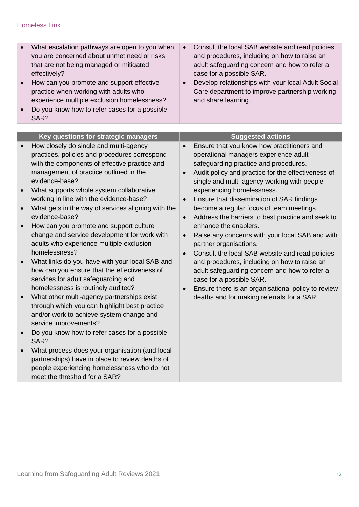## Homeless Link

<span id="page-11-0"></span>

| What escalation pathways are open to you when<br>you are concerned about unmet need or risks<br>that are not being managed or mitigated<br>effectively?<br>How can you promote and support effective<br>practice when working with adults who<br>experience multiple exclusion homelessness?<br>Do you know how to refer cases for a possible<br>SAR?                                                                                                                                                                                                                                                                                                                                                                                                                                                                                                                                                                                                                                                                                                                                       | Consult the local SAB website and read policies<br>$\bullet$<br>and procedures, including on how to raise an<br>adult safeguarding concern and how to refer a<br>case for a possible SAR.<br>Develop relationships with your local Adult Social<br>Care department to improve partnership working<br>and share learning.                                                                                                                                                                                                                                                                                                                                                                                                                                                                                                          |
|---------------------------------------------------------------------------------------------------------------------------------------------------------------------------------------------------------------------------------------------------------------------------------------------------------------------------------------------------------------------------------------------------------------------------------------------------------------------------------------------------------------------------------------------------------------------------------------------------------------------------------------------------------------------------------------------------------------------------------------------------------------------------------------------------------------------------------------------------------------------------------------------------------------------------------------------------------------------------------------------------------------------------------------------------------------------------------------------|-----------------------------------------------------------------------------------------------------------------------------------------------------------------------------------------------------------------------------------------------------------------------------------------------------------------------------------------------------------------------------------------------------------------------------------------------------------------------------------------------------------------------------------------------------------------------------------------------------------------------------------------------------------------------------------------------------------------------------------------------------------------------------------------------------------------------------------|
|                                                                                                                                                                                                                                                                                                                                                                                                                                                                                                                                                                                                                                                                                                                                                                                                                                                                                                                                                                                                                                                                                             |                                                                                                                                                                                                                                                                                                                                                                                                                                                                                                                                                                                                                                                                                                                                                                                                                                   |
| Key questions for strategic managers                                                                                                                                                                                                                                                                                                                                                                                                                                                                                                                                                                                                                                                                                                                                                                                                                                                                                                                                                                                                                                                        | <b>Suggested actions</b>                                                                                                                                                                                                                                                                                                                                                                                                                                                                                                                                                                                                                                                                                                                                                                                                          |
| How closely do single and multi-agency<br>practices, policies and procedures correspond<br>with the components of effective practice and<br>management of practice outlined in the<br>evidence-base?<br>What supports whole system collaborative<br>working in line with the evidence-base?<br>What gets in the way of services aligning with the<br>evidence-base?<br>How can you promote and support culture<br>change and service development for work with<br>adults who experience multiple exclusion<br>homelessness?<br>What links do you have with your local SAB and<br>how can you ensure that the effectiveness of<br>services for adult safeguarding and<br>homelessness is routinely audited?<br>What other multi-agency partnerships exist<br>through which you can highlight best practice<br>and/or work to achieve system change and<br>service improvements?<br>Do you know how to refer cases for a possible<br>SAR?<br>What process does your organisation (and local<br>partnerships) have in place to review deaths of<br>people experiencing homelessness who do not | Ensure that you know how practitioners and<br>operational managers experience adult<br>safeguarding practice and procedures.<br>Audit policy and practice for the effectiveness of<br>single and multi-agency working with people<br>experiencing homelessness.<br>Ensure that dissemination of SAR findings<br>become a regular focus of team meetings.<br>Address the barriers to best practice and seek to<br>$\bullet$<br>enhance the enablers.<br>Raise any concerns with your local SAB and with<br>$\bullet$<br>partner organisations.<br>Consult the local SAB website and read policies<br>and procedures, including on how to raise an<br>adult safeguarding concern and how to refer a<br>case for a possible SAR.<br>Ensure there is an organisational policy to review<br>deaths and for making referrals for a SAR. |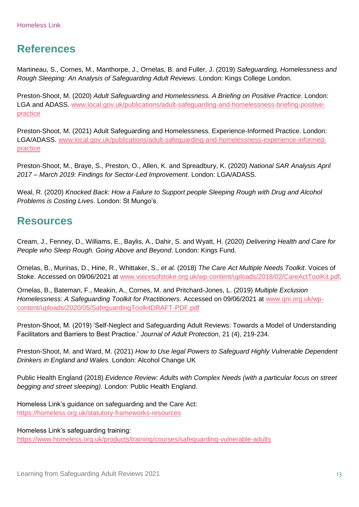# **References**

Martineau, S., Cornes, M., Manthorpe, J., Ornelas, B. and Fuller, J. (2019) *Safeguarding, Homelessness and Rough Sleeping: An Analysis of Safeguarding Adult Reviews*. London: Kings College London.

Preston-Shoot, M. (2020) *Adult Safeguarding and Homelessness. A Briefing on Positive Practice*. London: LGA and ADASS. [www.local.gov.uk/publications/adult-safeguarding-and-homelessness-briefing-positive](http://www.local.gov.uk/publications/adult-safeguarding-and-homelessness-briefing-positive-practice)[practice](http://www.local.gov.uk/publications/adult-safeguarding-and-homelessness-briefing-positive-practice)

Preston-Shoot, M. (2021) Adult Safeguarding and Homelessness. Experience-Informed Practice. London: LGA/ADASS. [www.local.gov.uk/publications/adult-safeguarding-and-homelessness-experience-informed](http://www.local.gov.uk/publications/adult-safeguarding-and-homelessness-experience-informed-practice)[practice](http://www.local.gov.uk/publications/adult-safeguarding-and-homelessness-experience-informed-practice)

Preston-Shoot, M., Braye, S., Preston, O., Allen, K. and Spreadbury, K. (2020) *National SAR Analysis April 2017 – March 2019: Findings for Sector-Led Improvement*. London: LGA/ADASS.

Weal, R. (2020) *Knocked Back: How a Failure to Support people Sleeping Rough with Drug and Alcohol Problems is Costing Lives*. London: St Mungo's.

# <span id="page-12-0"></span>**Resources**

Cream, J., Fenney, D., Williams, E., Baylis, A., Dahir, S. and Wyatt, H. (2020) *Delivering Health and Care for People who Sleep Rough. Going Above and Beyond*. London: Kings Fund.

Ornelas, B., Murinas, D., Hine, R., Whittaker, S., *et al.* (2018) *The Care Act Multiple Needs Toolkit*. Voices of Stoke. Accessed on 09/06/2021 at [www.voicesofstoke.org.uk/wp-content/uploads/2018/02/CareActToolKit.pdf.](http://www.voicesofstoke.org.uk/wp-content/uploads/2018/02/CareActToolKit.pdf)

Ornelas, B., Bateman, F., Meakin, A., Cornes, M. and Pritchard-Jones, L. (2019) *Multiple Exclusion Homelessness: A Safeguarding Toolkit for Practitioners*. Accessed on 09/06/2021 at [www.qni.org.uk/wp](http://www.qni.org.uk/wp-content/uploads/2020/05/SafeguardingToolkitDRAFT-PDF.pdf)[content/uploads/2020/05/SafeguardingToolkitDRAFT-PDF.pdf](http://www.qni.org.uk/wp-content/uploads/2020/05/SafeguardingToolkitDRAFT-PDF.pdf)

Preston-Shoot, M. (2019) 'Self-Neglect and Safeguarding Adult Reviews: Towards a Model of Understanding Facilitators and Barriers to Best Practice.' *Journal of Adult Protection*, 21 (4), 219-234.

Preston-Shoot, M. and Ward, M. (2021) *How to Use legal Powers to Safeguard Highly Vulnerable Dependent Drinkers in England and Wales.* London: Alcohol Change UK

Public Health England (2018) *Evidence Review: Adults with Complex Needs (with a particular focus on street begging and street sleeping)*. London: Public Health England.

Homeless Link's guidance on safeguarding and the Care Act: <https://homeless.org.uk/statutory-frameworks-resources>

Homeless Link's safeguarding training:

<https://www.homeless.org.uk/products/training/courses/safeguarding-vulnerable-adults>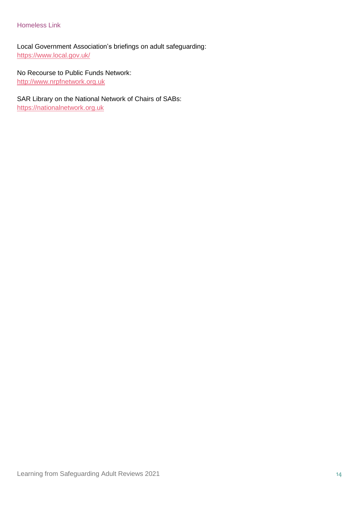#### Homeless Link

Local Government Association's briefings on adult safeguarding: <https://www.local.gov.uk/>

### No Recourse to Public Funds Network:

[http://www.nrpfnetwork.org.uk](http://www.nrpfnetwork.org.uk/)

# SAR Library on the National Network of Chairs of SABs:

[https://nationalnetwork.org.uk](https://nationalnetwork.org.uk/)